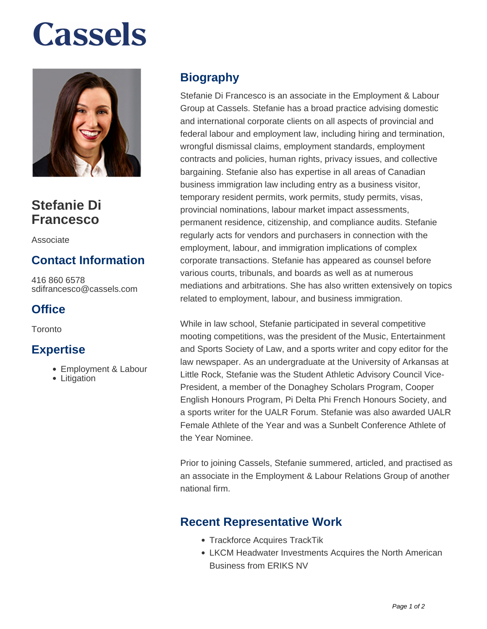# **Cassels**



# **Stefanie Di Francesco**

Associate

## **Contact Information**

416 860 6578 sdifrancesco@cassels.com

#### **Office**

**Toronto** 

#### **Expertise**

- Employment & Labour
- Litigation

### **Biography**

Stefanie Di Francesco is an associate in the Employment & Labour Group at Cassels. Stefanie has a broad practice advising domestic and international corporate clients on all aspects of provincial and federal labour and employment law, including hiring and termination, wrongful dismissal claims, employment standards, employment contracts and policies, human rights, privacy issues, and collective bargaining. Stefanie also has expertise in all areas of Canadian business immigration law including entry as a business visitor, temporary resident permits, work permits, study permits, visas, provincial nominations, labour market impact assessments, permanent residence, citizenship, and compliance audits. Stefanie regularly acts for vendors and purchasers in connection with the employment, labour, and immigration implications of complex corporate transactions. Stefanie has appeared as counsel before various courts, tribunals, and boards as well as at numerous mediations and arbitrations. She has also written extensively on topics related to employment, labour, and business immigration.

While in law school, Stefanie participated in several competitive mooting competitions, was the president of the Music, Entertainment and Sports Society of Law, and a sports writer and copy editor for the law newspaper. As an undergraduate at the University of Arkansas at Little Rock, Stefanie was the Student Athletic Advisory Council Vice-President, a member of the Donaghey Scholars Program, Cooper English Honours Program, Pi Delta Phi French Honours Society, and a sports writer for the UALR Forum. Stefanie was also awarded UALR Female Athlete of the Year and was a Sunbelt Conference Athlete of the Year Nominee.

Prior to joining Cassels, Stefanie summered, articled, and practised as an associate in the Employment & Labour Relations Group of another national firm.

#### **Recent Representative Work**

- Trackforce Acquires TrackTik
- LKCM Headwater Investments Acquires the North American Business from ERIKS NV